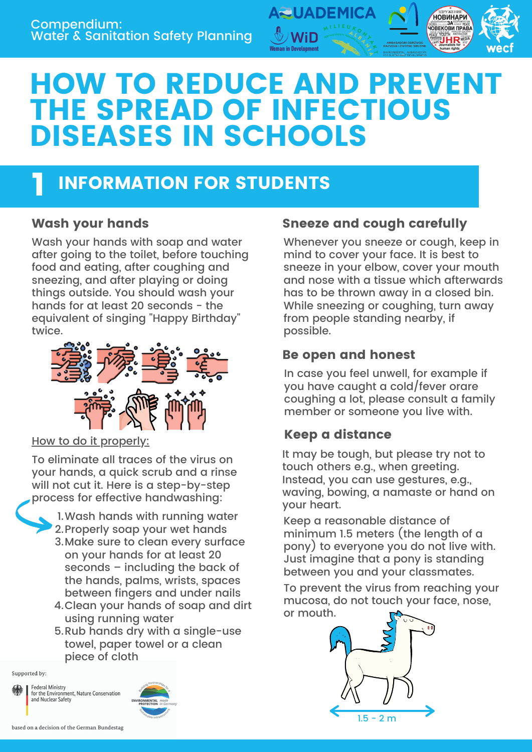

## HOW TO REDUCE AND PREVENT THE SPREAD OF INFECTIOUS DISEASES IN SCHOOLS

### INFORMATION FOR STUDENTS 1

Wash your hands with soap and water after going to the toilet, before touching food and eating, after coughing and sneezing, and after playing or doing things outside. You should wash your hands for at least 20 seconds - the equivalent of singing "Happy Birthday" twice.



How to do it properly:

To eliminate all traces of the virus on your hands, a quick scrub and a rinse will not cut it. Here is a step-by-step process for effective handwashing:



- 3.Make sure to clean every surface on your hands for at least 20 seconds – including the back of the hands, palms, wrists, spaces between fingers and under nails
- Clean your hands of soap and dirt 4. using running water
- 5.Rub hands dry with a single-use towel, paper towel or a clean piece of cloth

Supported by:

**Federal Ministry** for the Environment, Nature Conservation<br>and Nuclear Safety



#### Wash your hands **Sneeze and cough carefully**

Whenever you sneeze or cough, keep in mind to cover your face. It is best to sneeze in your elbow, cover your mouth and nose with a tissue which afterwards has to be thrown away in a closed bin. While sneezing or coughing, turn away from people standing nearby, if possible.

#### Be open and honest

In case you feel unwell, for example if you have caught a cold/fever orare coughing a lot, please consult a family member or someone you live with.

#### Keep a distance

It may be tough, but please try not to touch others e.g., when greeting. Instead, you can use gestures, e.g., waving, bowing, a namaste or hand on your heart.

Keep a reasonable distance of minimum 1.5 meters (the length of a pony) to everyone you do not live with. Just imagine that a pony is standing between you and your classmates.

To prevent the virus from reaching your mucosa, do not touch your face, nose, or mouth.

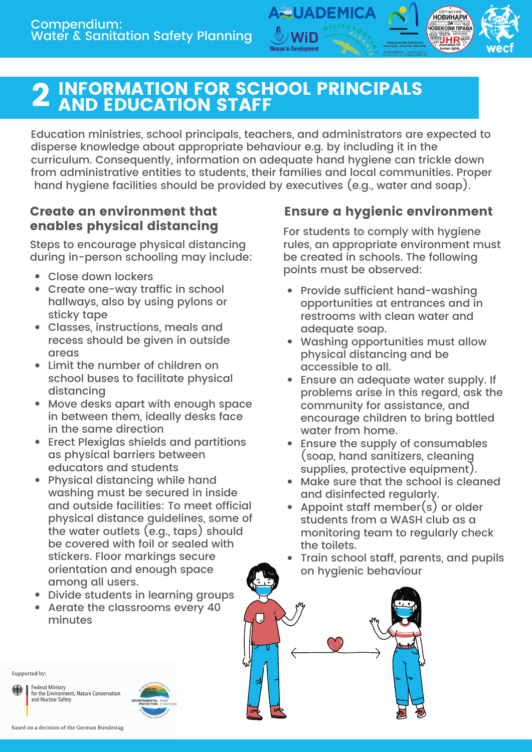

Education ministries, school principals, teachers, and administrators are expected to disperse knowledge about appropriate behaviour e.g. by including it in the curriculum. Consequently, information on adequate hand hygiene can trickle down from administrative entities to students, their families and local communities. Proper hand hygiene facilities should be provided by executives (e.g., water and soap).

**QUADEM** 

#### Create an environment that enables physical distancing

Steps to encourage physical distancing during in-person schooling may include:

- Close down lockers
- Create one-way traffic in school hallways, also by using pylons or sticky tape
- Classes, instructions, meals and recess should be given in outside areas
- Limit the number of children on school buses to facilitate physical distancing
- Move desks apart with enough space in between them, ideally desks face in the same direction
- Erect Plexiglas shields and partitions as physical barriers between educators and students
- Physical distancing while hand washing must be secured in inside and outside facilities: To meet official physical distance guidelines, some of the water outlets (e.g., taps) should be covered with foil or sealed with stickers. Floor markings secure orientation and enough space among all users.
- Divide students in learning groups
- Aerate the classrooms every 40 minutes

#### Ensure a hygienic environment

**HOBUHAPU HOBEKOBI TIPABA** 

For students to comply with hygiene rules, an appropriate environment must be created in schools. The following points must be observed:

- Provide sufficient hand-washing opportunities at entrances and in restrooms with clean water and adequate soap.
- Washing opportunities must allow physical distancing and be accessible to all.
- Ensure an adequate water supply. If problems arise in this regard, ask the community for assistance, and encourage children to bring bottled water from home.
- Ensure the supply of consumables (soap, hand sanitizers, cleaning supplies, protective equipment).
- Make sure that the school is cleaned and disinfected regularly.
- Appoint staff member(s) or older students from a WASH club as a monitoring team to regularly check the toilets.
- Train school staff, parents, and pupils on hygienic behaviour



Supported by:

**Federal Ministry** for the Environment, Nature Conservation<br>and Nuclear Safety